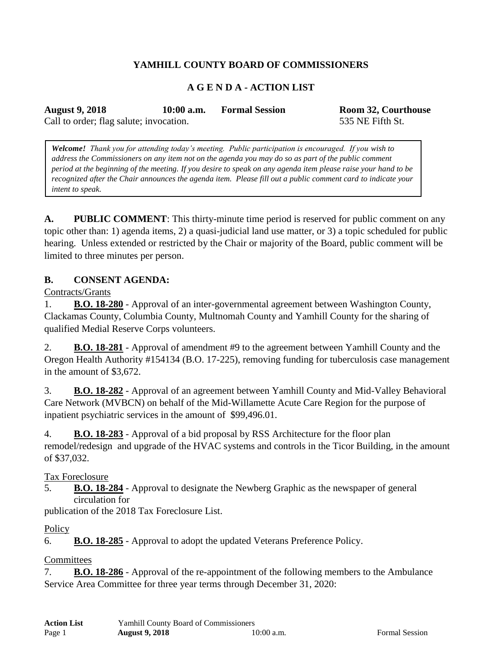# **YAMHILL COUNTY BOARD OF COMMISSIONERS**

# **A G E N D A - ACTION LIST**

**August 9, 2018 10:00 a.m. Formal Session Room 32, Courthouse**

Call to order; flag salute; invocation. 535 NE Fifth St.

*Welcome! Thank you for attending today's meeting. Public participation is encouraged. If you wish to address the Commissioners on any item not on the agenda you may do so as part of the public comment period at the beginning of the meeting. If you desire to speak on any agenda item please raise your hand to be recognized after the Chair announces the agenda item. Please fill out a public comment card to indicate your intent to speak.*

**A. PUBLIC COMMENT**: This thirty-minute time period is reserved for public comment on any topic other than: 1) agenda items, 2) a quasi-judicial land use matter, or 3) a topic scheduled for public hearing. Unless extended or restricted by the Chair or majority of the Board, public comment will be limited to three minutes per person.

#### **B. CONSENT AGENDA:**

Contracts/Grants

1. **B.O. 18-280** - Approval of an inter-governmental agreement between Washington County, Clackamas County, Columbia County, Multnomah County and Yamhill County for the sharing of qualified Medial Reserve Corps volunteers.

2. **B.O. 18-281** - Approval of amendment #9 to the agreement between Yamhill County and the Oregon Health Authority #154134 (B.O. 17-225), removing funding for tuberculosis case management in the amount of \$3,672.

3. **B.O. 18-282** - Approval of an agreement between Yamhill County and Mid-Valley Behavioral Care Network (MVBCN) on behalf of the Mid-Willamette Acute Care Region for the purpose of inpatient psychiatric services in the amount of \$99,496.01.

4. **B.O. 18-283** - Approval of a bid proposal by RSS Architecture for the floor plan remodel/redesign and upgrade of the HVAC systems and controls in the Ticor Building, in the amount of \$37,032.

#### Tax Foreclosure

5. **B.O. 18-284** - Approval to designate the Newberg Graphic as the newspaper of general circulation for

publication of the 2018 Tax Foreclosure List.

#### **Policy**

6. **B.O. 18-285** - Approval to adopt the updated Veterans Preference Policy.

## **Committees**

7. **B.O. 18-286** - Approval of the re-appointment of the following members to the Ambulance Service Area Committee for three year terms through December 31, 2020: